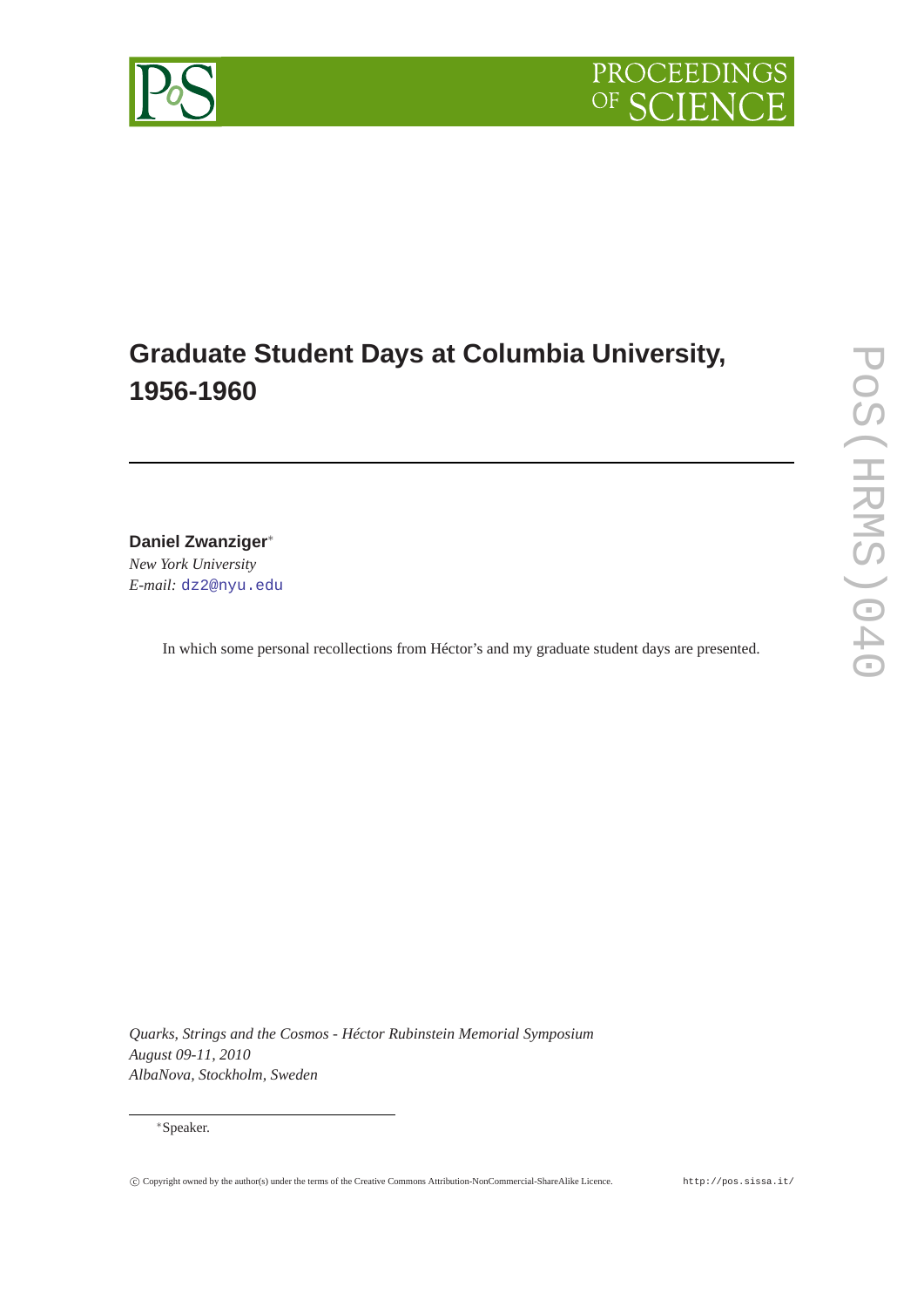

## **Graduate Student Days at Columbia University, 1956-1960**

**Daniel Zwanziger**<sup>∗</sup>

*New York University E-mail:* [dz2@nyu.edu](mailto:dz2@nyu.edu)

In which some personal recollections from Héctor's and my graduate student days are presented.

*Quarks, Strings and the Cosmos - Héctor Rubinstein Memorial Symposium August 09-11, 2010 AlbaNova, Stockholm, Sweden*

## <sup>∗</sup>Speaker.

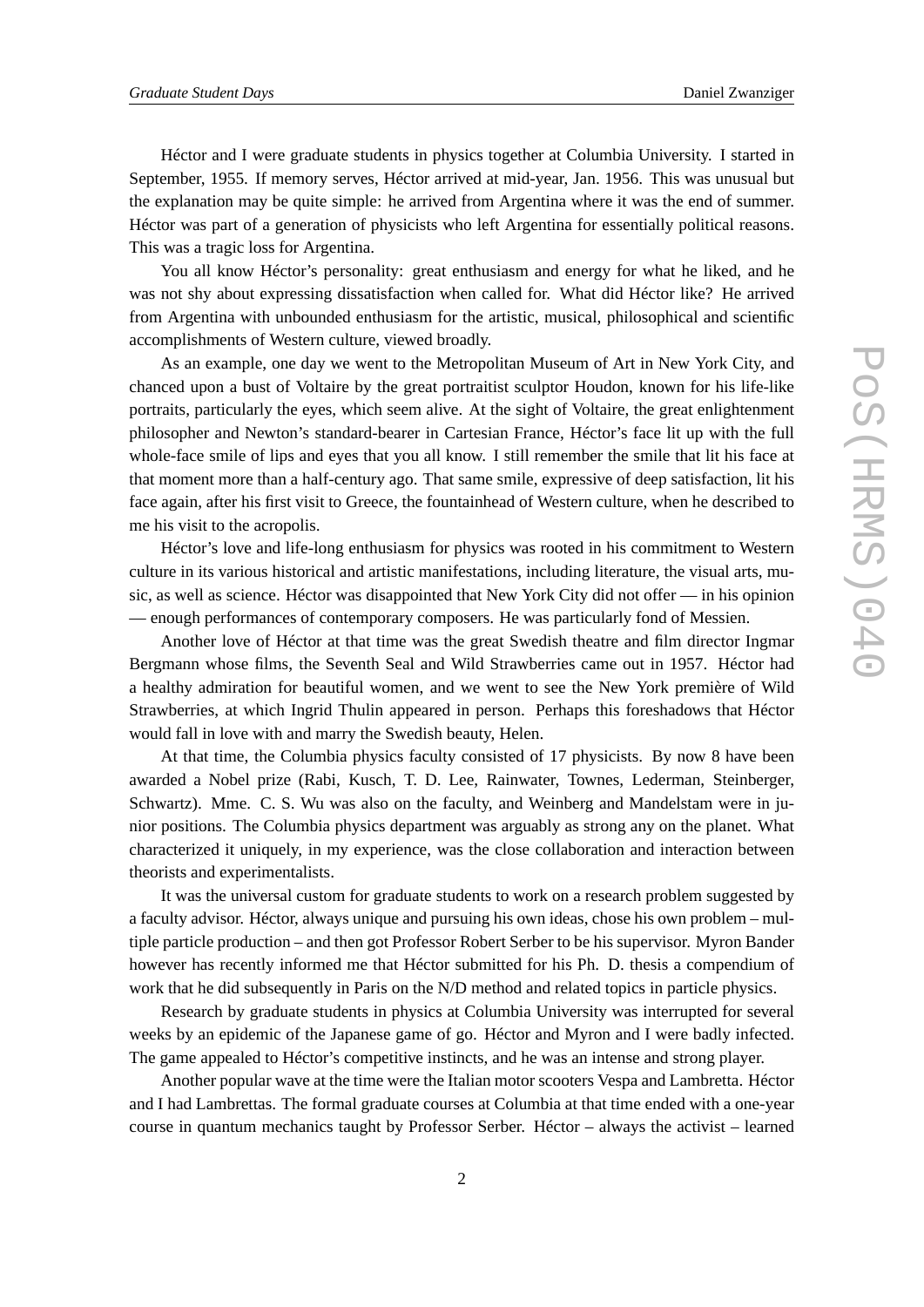Héctor and I were graduate students in physics together at Columbia University. I started in September, 1955. If memory serves, Héctor arrived at mid-year, Jan. 1956. This was unusual but the explanation may be quite simple: he arrived from Argentina where it was the end of summer. Héctor was part of a generation of physicists who left Argentina for essentially political reasons. This was a tragic loss for Argentina.

You all know Héctor's personality: great enthusiasm and energy for what he liked, and he was not shy about expressing dissatisfaction when called for. What did Héctor like? He arrived from Argentina with unbounded enthusiasm for the artistic, musical, philosophical and scientific accomplishments of Western culture, viewed broadly.

As an example, one day we went to the Metropolitan Museum of Art in New York City, and chanced upon a bust of Voltaire by the great portraitist sculptor Houdon, known for his life-like portraits, particularly the eyes, which seem alive. At the sight of Voltaire, the great enlightenment philosopher and Newton's standard-bearer in Cartesian France, Héctor's face lit up with the full whole-face smile of lips and eyes that you all know. I still remember the smile that lit his face at that moment more than a half-century ago. That same smile, expressive of deep satisfaction, lit his face again, after his first visit to Greece, the fountainhead of Western culture, when he described to me his visit to the acropolis.

Héctor's love and life-long enthusiasm for physics was rooted in his commitment to Western culture in its various historical and artistic manifestations, including literature, the visual arts, music, as well as science. Héctor was disappointed that New York City did not offer — in his opinion — enough performances of contemporary composers. He was particularly fond of Messien.

Another love of Héctor at that time was the great Swedish theatre and film director Ingmar Bergmann whose films, the Seventh Seal and Wild Strawberries came out in 1957. Héctor had a healthy admiration for beautiful women, and we went to see the New York première of Wild Strawberries, at which Ingrid Thulin appeared in person. Perhaps this foreshadows that Héctor would fall in love with and marry the Swedish beauty, Helen.

At that time, the Columbia physics faculty consisted of 17 physicists. By now 8 have been awarded a Nobel prize (Rabi, Kusch, T. D. Lee, Rainwater, Townes, Lederman, Steinberger, Schwartz). Mme. C. S. Wu was also on the faculty, and Weinberg and Mandelstam were in junior positions. The Columbia physics department was arguably as strong any on the planet. What characterized it uniquely, in my experience, was the close collaboration and interaction between theorists and experimentalists.

It was the universal custom for graduate students to work on a research problem suggested by a faculty advisor. Héctor, always unique and pursuing his own ideas, chose his own problem – multiple particle production – and then got Professor Robert Serber to be his supervisor. Myron Bander however has recently informed me that Héctor submitted for his Ph. D. thesis a compendium of work that he did subsequently in Paris on the N/D method and related topics in particle physics.

Research by graduate students in physics at Columbia University was interrupted for several weeks by an epidemic of the Japanese game of go. Héctor and Myron and I were badly infected. The game appealed to Héctor's competitive instincts, and he was an intense and strong player.

Another popular wave at the time were the Italian motor scooters Vespa and Lambretta. Héctor and I had Lambrettas. The formal graduate courses at Columbia at that time ended with a one-year course in quantum mechanics taught by Professor Serber. Héctor – always the activist – learned